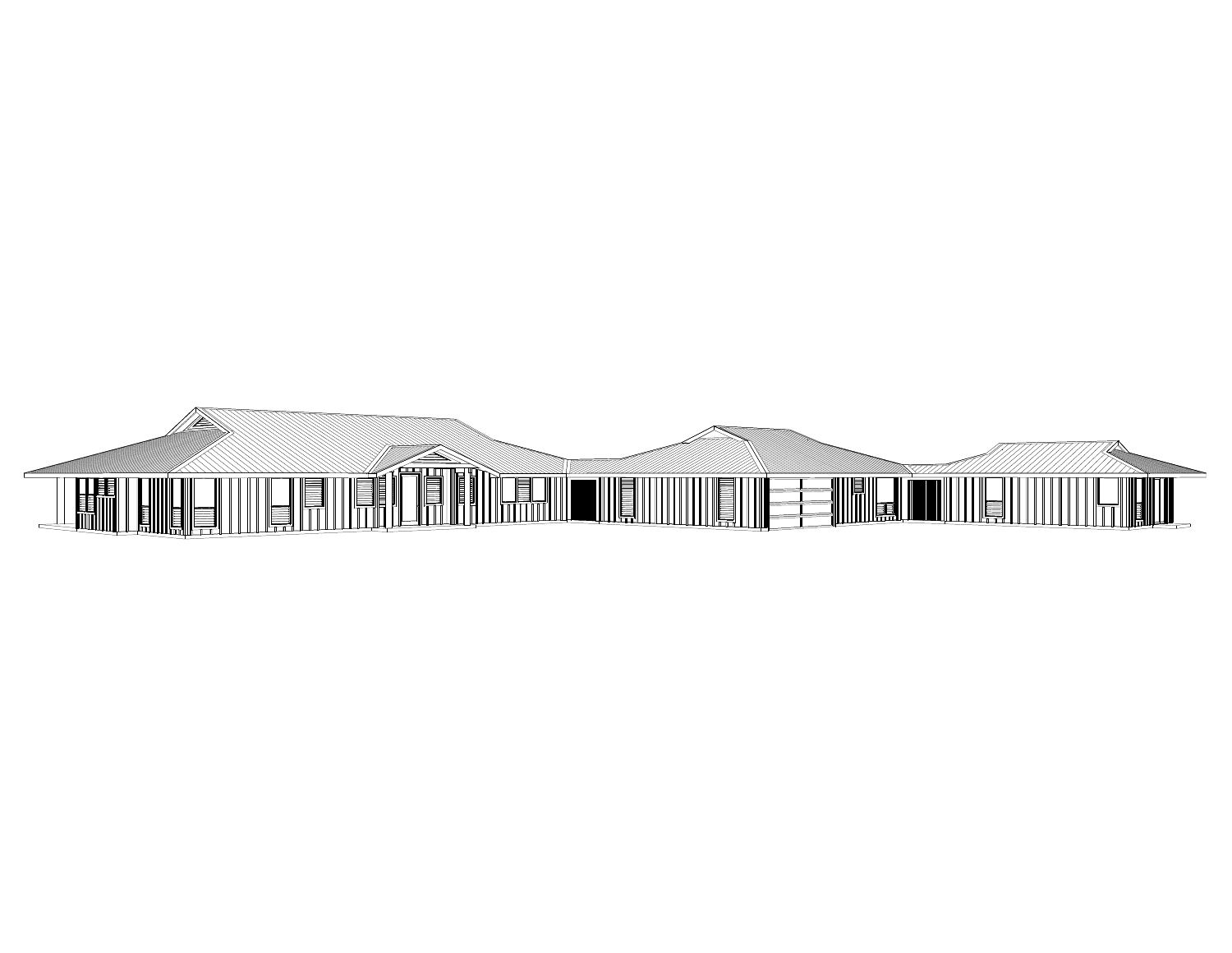